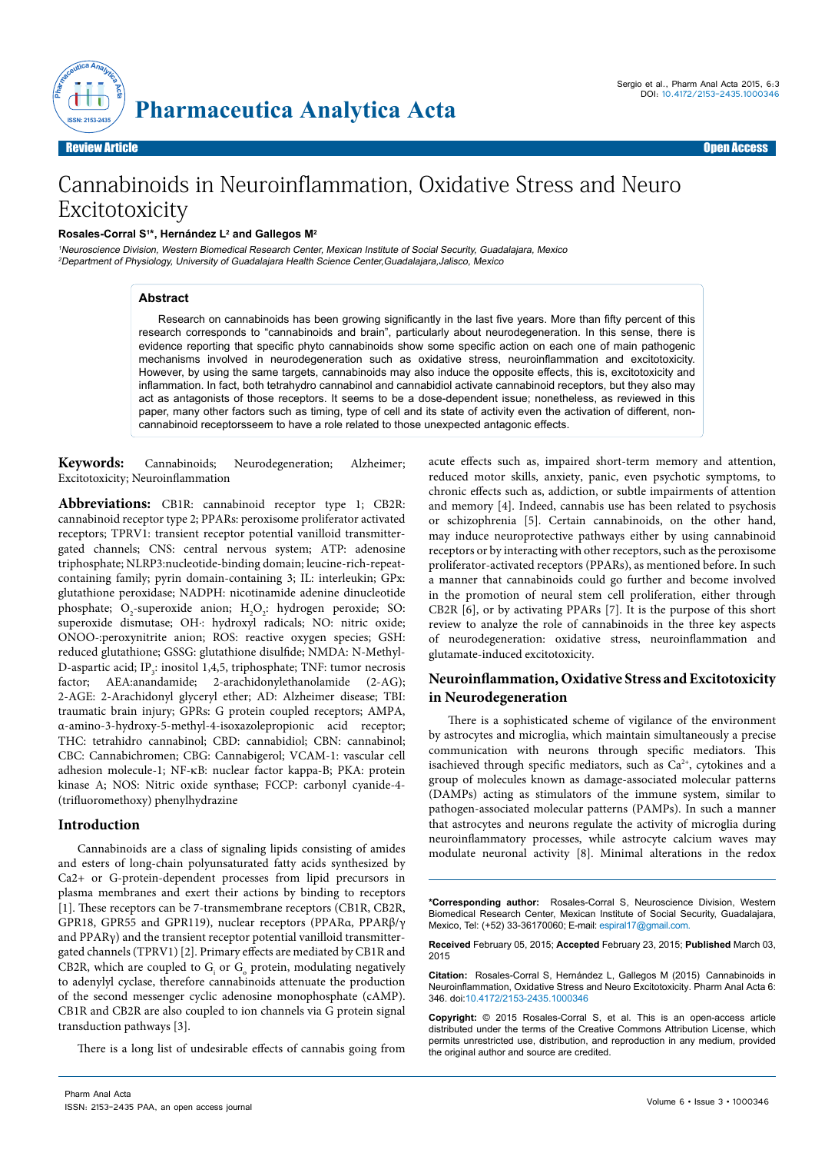

# Cannabinoids in Neuroinflammation, Oxidative Stress and Neuro Excitotoxicity

#### **Rosales-Corral S1 \*, Hernández L2 and Gallegos M2**

<sup>1</sup>Neuroscience Division, Western Biomedical Research Center, Mexican Institute of Social Security, Guadalajara, Mexico <sup>2</sup>Department of Physiology, University of Guadalajara Health Science Center,Guadalajara,Jalisco, Mexico

# **Abstract**

Research on cannabinoids has been growing significantly in the last five years. More than fifty percent of this research corresponds to "cannabinoids and brain", particularly about neurodegeneration. In this sense, there is evidence reporting that specific phyto cannabinoids show some specific action on each one of main pathogenic mechanisms involved in neurodegeneration such as oxidative stress, neuroinflammation and excitotoxicity. However, by using the same targets, cannabinoids may also induce the opposite effects, this is, excitotoxicity and inflammation. In fact, both tetrahydro cannabinol and cannabidiol activate cannabinoid receptors, but they also may act as antagonists of those receptors. It seems to be a dose-dependent issue; nonetheless, as reviewed in this paper, many other factors such as timing, type of cell and its state of activity even the activation of different, noncannabinoid receptorsseem to have a role related to those unexpected antagonic effects.

**Keywords:** Cannabinoids; Neurodegeneration; Alzheimer; Excitotoxicity; Neuroinflammation

**Abbreviations:** CB1R: cannabinoid receptor type 1; CB2R: cannabinoid receptor type 2; PPARs: peroxisome proliferator activated receptors; TPRV1: transient receptor potential vanilloid transmittergated channels; CNS: central nervous system; ATP: adenosine triphosphate; NLRP3:nucleotide-binding domain; leucine-rich-repeatcontaining family; pyrin domain-containing 3; IL: interleukin; GPx: glutathione peroxidase; NADPH: nicotinamide adenine dinucleotide phosphate;  $O_2$ -superoxide anion;  $H_2O_2$ : hydrogen peroxide; SO: superoxide dismutase; OH∙: hydroxyl radicals; NO: nitric oxide; ONOO-:peroxynitrite anion; ROS: reactive oxygen species; GSH: reduced glutathione; GSSG: glutathione disulfide; NMDA: N-Methyl-D-aspartic acid; IP<sub>3</sub>: inositol 1,4,5, triphosphate; TNF: tumor necrosis factor; AEA:anandamide; 2-arachidonylethanolamide (2-AG); 2-AGE: 2-Arachidonyl glyceryl ether; AD: Alzheimer disease; TBI: traumatic brain injury; GPRs: G protein coupled receptors; AMPA, α-amino-3-hydroxy-5-methyl-4-isoxazolepropionic acid receptor; THC: tetrahidro cannabinol; CBD: cannabidiol; CBN: cannabinol; CBC: Cannabichromen; CBG: Cannabigerol; VCAM-1: vascular cell adhesion molecule-1; NF-κB: nuclear factor kappa-B; PKA: protein kinase A; NOS: Nitric oxide synthase; FCCP: carbonyl cyanide-4- (trifluoromethoxy) phenylhydrazine

### **Introduction**

Cannabinoids are a class of signaling lipids consisting of amides and esters of long-chain polyunsaturated fatty acids synthesized by Ca2+ or G-protein-dependent processes from lipid precursors in plasma membranes and exert their actions by binding to receptors [1]. These receptors can be 7-transmembrane receptors (CB1R, CB2R, GPR18, GPR55 and GPR119), nuclear receptors (PPARα, PPARβ/γ and PPARγ) and the transient receptor potential vanilloid transmittergated channels (TPRV1) [2]. Primary effects are mediated by CB1R and CB2R, which are coupled to  $G_i$  or  $G_o$  protein, modulating negatively to adenylyl cyclase, therefore cannabinoids attenuate the production of the second messenger cyclic adenosine monophosphate (cAMP). CB1R and CB2R are also coupled to ion channels via G protein signal transduction pathways [3].

There is a long list of undesirable effects of cannabis going from

acute effects such as, impaired short-term memory and attention, reduced motor skills, anxiety, panic, even psychotic symptoms, to chronic effects such as, addiction, or subtle impairments of attention and memory [4]. Indeed, cannabis use has been related to psychosis or schizophrenia [5]. Certain cannabinoids, on the other hand, may induce neuroprotective pathways either by using cannabinoid receptors or by interacting with other receptors, such as the peroxisome proliferator-activated receptors (PPARs), as mentioned before. In such a manner that cannabinoids could go further and become involved in the promotion of neural stem cell proliferation, either through CB2R [6], or by activating PPARs [7]. It is the purpose of this short review to analyze the role of cannabinoids in the three key aspects of neurodegeneration: oxidative stress, neuroinflammation and glutamate-induced excitotoxicity.

# **Neuroinflammation, Oxidative Stress and Excitotoxicity in Neurodegeneration**

There is a sophisticated scheme of vigilance of the environment by astrocytes and microglia, which maintain simultaneously a precise communication with neurons through specific mediators. This isachieved through specific mediators, such as  $Ca^{2+}$ , cytokines and a group of molecules known as damage-associated molecular patterns (DAMPs) acting as stimulators of the immune system, similar to pathogen-associated molecular patterns (PAMPs). In such a manner that astrocytes and neurons regulate the activity of microglia during neuroinflammatory processes, while astrocyte calcium waves may modulate neuronal activity [8]. Minimal alterations in the redox

**\*Corresponding author:** Rosales-Corral S, Neuroscience Division, Western Biomedical Research Center, Mexican Institute of Social Security, Guadalajara, Mexico, Tel: (+52) 33-36170060; E-mail: espiral17@gmail.com.

**Received** February 05, 2015; **Accepted** February 23, 2015; **Published** March 03, 2015

**Citation:** Rosales-Corral S, Hernández L, Gallegos M (2015) Cannabinoids in Neuroinflammation, Oxidative Stress and Neuro Excitotoxicity. Pharm Anal Acta 6: 346. doi:10.4172/2153-2435.1000346

**Copyright:** © 2015 Rosales-Corral S, et al. This is an open-access article distributed under the terms of the Creative Commons Attribution License, which permits unrestricted use, distribution, and reproduction in any medium, provided the original author and source are credited.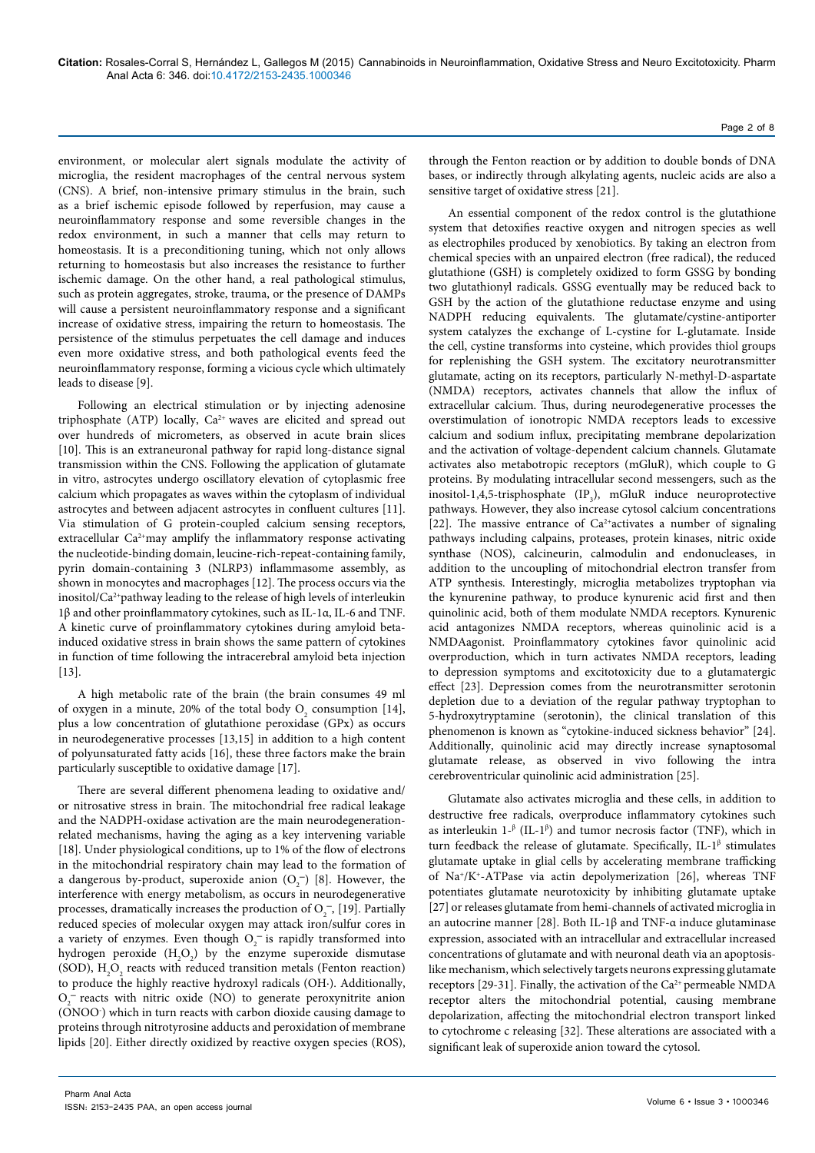environment, or molecular alert signals modulate the activity of microglia, the resident macrophages of the central nervous system (CNS). A brief, non-intensive primary stimulus in the brain, such as a brief ischemic episode followed by reperfusion, may cause a neuroinflammatory response and some reversible changes in the redox environment, in such a manner that cells may return to homeostasis. It is a preconditioning tuning, which not only allows returning to homeostasis but also increases the resistance to further ischemic damage. On the other hand, a real pathological stimulus, such as protein aggregates, stroke, trauma, or the presence of DAMPs will cause a persistent neuroinflammatory response and a significant increase of oxidative stress, impairing the return to homeostasis. The persistence of the stimulus perpetuates the cell damage and induces even more oxidative stress, and both pathological events feed the neuroinflammatory response, forming a vicious cycle which ultimately leads to disease [9].

Following an electrical stimulation or by injecting adenosine triphosphate (ATP) locally, Ca<sup>2+</sup> waves are elicited and spread out over hundreds of micrometers, as observed in acute brain slices [10]. This is an extraneuronal pathway for rapid long-distance signal transmission within the CNS. Following the application of glutamate in vitro, astrocytes undergo oscillatory elevation of cytoplasmic free calcium which propagates as waves within the cytoplasm of individual astrocytes and between adjacent astrocytes in confluent cultures [11]. Via stimulation of G protein-coupled calcium sensing receptors, extracellular Ca<sup>2+</sup>may amplify the inflammatory response activating the nucleotide-binding domain, leucine-rich-repeat-containing family, pyrin domain-containing 3 (NLRP3) inflammasome assembly, as shown in monocytes and macrophages [12]. The process occurs via the inositol/Ca2+pathway leading to the release of high levels of interleukin 1β and other proinflammatory cytokines, such as IL-1α, IL-6 and TNF. A kinetic curve of proinflammatory cytokines during amyloid betainduced oxidative stress in brain shows the same pattern of cytokines in function of time following the intracerebral amyloid beta injection [13].

A high metabolic rate of the brain (the brain consumes 49 ml of oxygen in a minute, 20% of the total body  $O_2$  consumption [14], plus a low concentration of glutathione peroxidase (GPx) as occurs in neurodegenerative processes [13,15] in addition to a high content of polyunsaturated fatty acids [16], these three factors make the brain particularly susceptible to oxidative damage [17].

There are several different phenomena leading to oxidative and/ or nitrosative stress in brain. The mitochondrial free radical leakage and the NADPH-oxidase activation are the main neurodegenerationrelated mechanisms, having the aging as a key intervening variable [18]. Under physiological conditions, up to 1% of the flow of electrons in the mitochondrial respiratory chain may lead to the formation of a dangerous by-product, superoxide anion  $(O_2^-)$  [8]. However, the interference with energy metabolism, as occurs in neurodegenerative processes, dramatically increases the production of  $O_2^-$ , [19]. Partially reduced species of molecular oxygen may attack iron/sulfur cores in a variety of enzymes. Even though  $O_2^-$  is rapidly transformed into hydrogen peroxide  $(H_2O_2)$  by the enzyme superoxide dismutase (SOD),  $H_2O_2$  reacts with reduced transition metals (Fenton reaction) to produce the highly reactive hydroxyl radicals (OH∙). Additionally,  $O_2^-$  reacts with nitric oxide (NO) to generate peroxynitrite anion (ONOO- ) which in turn reacts with carbon dioxide causing damage to proteins through nitrotyrosine adducts and peroxidation of membrane lipids [20]. Either directly oxidized by reactive oxygen species (ROS),

through the Fenton reaction or by addition to double bonds of DNA bases, or indirectly through alkylating agents, nucleic acids are also a sensitive target of oxidative stress [21].

An essential component of the redox control is the glutathione system that detoxifies reactive oxygen and nitrogen species as well as electrophiles produced by xenobiotics. By taking an electron from chemical species with an unpaired electron (free radical), the reduced glutathione (GSH) is completely oxidized to form GSSG by bonding two glutathionyl radicals. GSSG eventually may be reduced back to GSH by the action of the glutathione reductase enzyme and using NADPH reducing equivalents. The glutamate/cystine-antiporter system catalyzes the exchange of L-cystine for L-glutamate. Inside the cell, cystine transforms into cysteine, which provides thiol groups for replenishing the GSH system. The excitatory neurotransmitter glutamate, acting on its receptors, particularly N-methyl-D-aspartate (NMDA) receptors, activates channels that allow the influx of extracellular calcium. Thus, during neurodegenerative processes the overstimulation of ionotropic NMDA receptors leads to excessive calcium and sodium influx, precipitating membrane depolarization and the activation of voltage-dependent calcium channels. Glutamate activates also metabotropic receptors (mGluR), which couple to G proteins. By modulating intracellular second messengers, such as the inositol-1,4,5-trisphosphate  $(IP_3)$ , mGluR induce neuroprotective pathways. However, they also increase cytosol calcium concentrations [22]. The massive entrance of  $Ca<sup>2+</sup>$  activates a number of signaling pathways including calpains, proteases, protein kinases, nitric oxide synthase (NOS), calcineurin, calmodulin and endonucleases, in addition to the uncoupling of mitochondrial electron transfer from ATP synthesis. Interestingly, microglia metabolizes tryptophan via the kynurenine pathway, to produce kynurenic acid first and then quinolinic acid, both of them modulate NMDA receptors. Kynurenic acid antagonizes NMDA receptors, whereas quinolinic acid is a NMDAagonist. Proinflammatory cytokines favor quinolinic acid overproduction, which in turn activates NMDA receptors, leading to depression symptoms and excitotoxicity due to a glutamatergic effect [23]. Depression comes from the neurotransmitter serotonin depletion due to a deviation of the regular pathway tryptophan to 5-hydroxytryptamine (serotonin), the clinical translation of this phenomenon is known as "cytokine-induced sickness behavior" [24]. Additionally, quinolinic acid may directly increase synaptosomal glutamate release, as observed in vivo following the intra cerebroventricular quinolinic acid administration [25].

Glutamate also activates microglia and these cells, in addition to destructive free radicals, overproduce inflammatory cytokines such as interleukin  $1-\beta$  (IL-1 $\beta$ ) and tumor necrosis factor (TNF), which in turn feedback the release of glutamate. Specifically, IL- $1<sup>\beta</sup>$  stimulates glutamate uptake in glial cells by accelerating membrane trafficking of Na+/K+-ATPase via actin depolymerization [26], whereas TNF potentiates glutamate neurotoxicity by inhibiting glutamate uptake [27] or releases glutamate from hemi-channels of activated microglia in an autocrine manner [28]. Both IL-1β and TNF-α induce glutaminase expression, associated with an intracellular and extracellular increased concentrations of glutamate and with neuronal death via an apoptosislike mechanism, which selectively targets neurons expressing glutamate receptors [29-31]. Finally, the activation of the Ca<sup>2+</sup> permeable NMDA receptor alters the mitochondrial potential, causing membrane depolarization, affecting the mitochondrial electron transport linked to cytochrome c releasing [32]. These alterations are associated with a significant leak of superoxide anion toward the cytosol.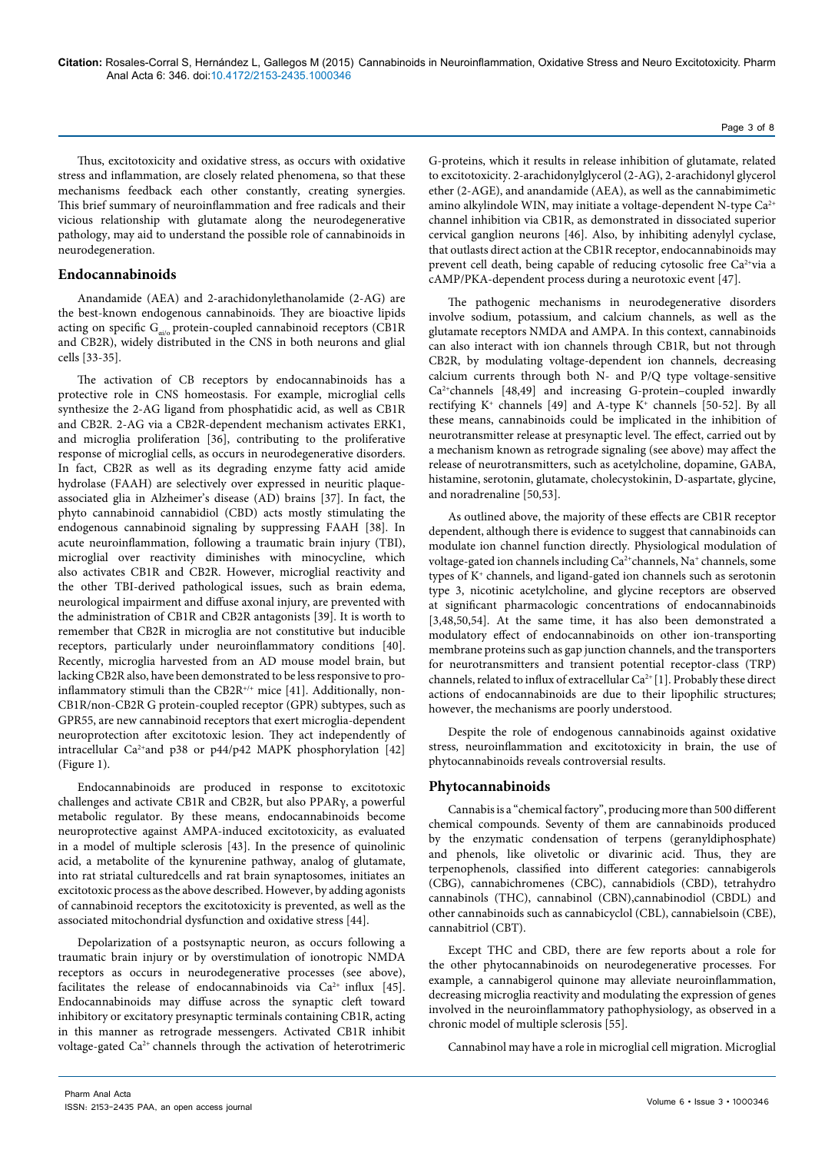Thus, excitotoxicity and oxidative stress, as occurs with oxidative stress and inflammation, are closely related phenomena, so that these mechanisms feedback each other constantly, creating synergies. This brief summary of neuroinflammation and free radicals and their vicious relationship with glutamate along the neurodegenerative pathology, may aid to understand the possible role of cannabinoids in neurodegeneration.

# **Endocannabinoids**

Anandamide (AEA) and 2-arachidonylethanolamide (2-AG) are the best-known endogenous cannabinoids. They are bioactive lipids acting on specific  $G_{\alpha i \alpha}$  protein-coupled cannabinoid receptors (CB1R and CB2R), widely distributed in the CNS in both neurons and glial cells [33-35].

The activation of CB receptors by endocannabinoids has a protective role in CNS homeostasis. For example, microglial cells synthesize the 2-AG ligand from phosphatidic acid, as well as CB1R and CB2R. 2-AG via a CB2R-dependent mechanism activates ERK1, and microglia proliferation [36], contributing to the proliferative response of microglial cells, as occurs in neurodegenerative disorders. In fact, CB2R as well as its degrading enzyme fatty acid amide hydrolase (FAAH) are selectively over expressed in neuritic plaqueassociated glia in Alzheimer's disease (AD) brains [37]. In fact, the phyto cannabinoid cannabidiol (CBD) acts mostly stimulating the endogenous cannabinoid signaling by suppressing FAAH [38]. In acute neuroinflammation, following a traumatic brain injury (TBI), microglial over reactivity diminishes with minocycline, which also activates CB1R and CB2R. However, microglial reactivity and the other TBI-derived pathological issues, such as brain edema, neurological impairment and diffuse axonal injury, are prevented with the administration of CB1R and CB2R antagonists [39]. It is worth to remember that CB2R in microglia are not constitutive but inducible receptors, particularly under neuroinflammatory conditions [40]. Recently, microglia harvested from an AD mouse model brain, but lacking CB2R also, have been demonstrated to be less responsive to proinflammatory stimuli than the CB2R<sup>+/+</sup> mice [41]. Additionally, non-CB1R/non-CB2R G protein-coupled receptor (GPR) subtypes, such as GPR55, are new cannabinoid receptors that exert microglia-dependent neuroprotection after excitotoxic lesion. They act independently of intracellular Ca<sup>2+</sup>and p38 or p44/p42 MAPK phosphorylation [42] (Figure 1).

Endocannabinoids are produced in response to excitotoxic challenges and activate CB1R and CB2R, but also PPARγ, a powerful metabolic regulator. By these means, endocannabinoids become neuroprotective against AMPA-induced excitotoxicity, as evaluated in a model of multiple sclerosis [43]. In the presence of quinolinic acid, a metabolite of the kynurenine pathway, analog of glutamate, into rat striatal culturedcells and rat brain synaptosomes, initiates an excitotoxic process as the above described. However, by adding agonists of cannabinoid receptors the excitotoxicity is prevented, as well as the associated mitochondrial dysfunction and oxidative stress [44].

Depolarization of a postsynaptic neuron, as occurs following a traumatic brain injury or by overstimulation of ionotropic NMDA receptors as occurs in neurodegenerative processes (see above), facilitates the release of endocannabinoids via  $Ca^{2+}$  influx [45]. Endocannabinoids may diffuse across the synaptic cleft toward inhibitory or excitatory presynaptic terminals containing CB1R, acting in this manner as retrograde messengers. Activated CB1R inhibit voltage-gated Ca<sup>2+</sup> channels through the activation of heterotrimeric

G-proteins, which it results in release inhibition of glutamate, related to excitotoxicity. 2-arachidonylglycerol (2-AG), 2-arachidonyl glycerol ether (2-AGE), and anandamide (AEA), as well as the cannabimimetic amino alkylindole WIN, may initiate a voltage-dependent N-type Ca<sup>2+</sup> channel inhibition via CB1R, as demonstrated in dissociated superior cervical ganglion neurons [46]. Also, by inhibiting adenylyl cyclase, that outlasts direct action at the CB1R receptor, endocannabinoids may prevent cell death, being capable of reducing cytosolic free Ca<sup>2+</sup>via a cAMP/PKA-dependent process during a neurotoxic event [47].

The pathogenic mechanisms in neurodegenerative disorders involve sodium, potassium, and calcium channels, as well as the glutamate receptors NMDA and AMPA. In this context, cannabinoids can also interact with ion channels through CB1R, but not through CB2R, by modulating voltage-dependent ion channels, decreasing calcium currents through both N- and P/Q type voltage-sensitive Ca2+channels [48,49] and increasing G-protein–coupled inwardly rectifying  $K^+$  channels [49] and A-type  $K^+$  channels [50-52]. By all these means, cannabinoids could be implicated in the inhibition of neurotransmitter release at presynaptic level. The effect, carried out by a mechanism known as retrograde signaling (see above) may affect the release of neurotransmitters, such as acetylcholine, dopamine, GABA, histamine, serotonin, glutamate, cholecystokinin, D-aspartate, glycine, and noradrenaline [50,53].

As outlined above, the majority of these effects are CB1R receptor dependent, although there is evidence to suggest that cannabinoids can modulate ion channel function directly. Physiological modulation of voltage-gated ion channels including Ca<sup>2+</sup>channels, Na<sup>+</sup> channels, some types of K+ channels, and ligand-gated ion channels such as serotonin type 3, nicotinic acetylcholine, and glycine receptors are observed at significant pharmacologic concentrations of endocannabinoids [3,48,50,54]. At the same time, it has also been demonstrated a modulatory effect of endocannabinoids on other ion-transporting membrane proteins such as gap junction channels, and the transporters for neurotransmitters and transient potential receptor-class (TRP) channels, related to influx of extracellular Ca<sup>2+</sup> [1]. Probably these direct actions of endocannabinoids are due to their lipophilic structures; however, the mechanisms are poorly understood.

Despite the role of endogenous cannabinoids against oxidative stress, neuroinflammation and excitotoxicity in brain, the use of phytocannabinoids reveals controversial results.

### **Phytocannabinoids**

Cannabis is a "chemical factory", producing more than 500 different chemical compounds. Seventy of them are cannabinoids produced by the enzymatic condensation of terpens (geranyldiphosphate) and phenols, like olivetolic or divarinic acid. Thus, they are terpenophenols, classified into different categories: cannabigerols (CBG), cannabichromenes (CBC), cannabidiols (CBD), tetrahydro cannabinols (THC), cannabinol (CBN),cannabinodiol (CBDL) and other cannabinoids such as cannabicyclol (CBL), cannabielsoin (CBE), cannabitriol (CBT).

Except THC and CBD, there are few reports about a role for the other phytocannabinoids on neurodegenerative processes. For example, a cannabigerol quinone may alleviate neuroinflammation, decreasing microglia reactivity and modulating the expression of genes involved in the neuroinflammatory pathophysiology, as observed in a chronic model of multiple sclerosis [55].

Cannabinol may have a role in microglial cell migration. Microglial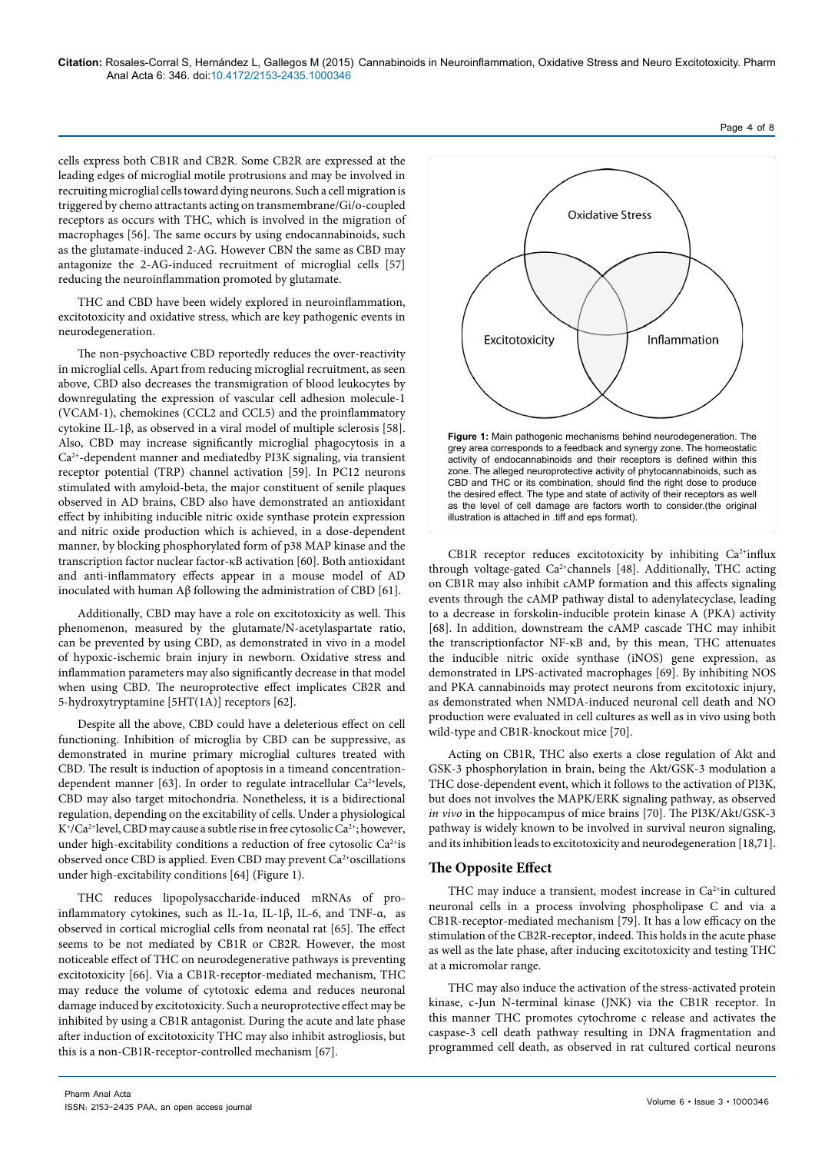cells express both CB1R and CB2R. Some CB2R are expressed at the leading edges of microglial motile protrusions and may be involved in recruiting microglial cells toward dying neurons. Such a cell migration is triggered by chemo attractants acting on transmembrane/Gi/o-coupled receptors as occurs with THC, which is involved in the migration of macrophages [56]. The same occurs by using endocannabinoids, such as the glutamate-induced 2-AG. However CBN the same as CBD may antagonize the 2-AG-induced recruitment of microglial cells [57] reducing the neuroinflammation promoted by glutamate.

THC and CBD have been widely explored in neuroinflammation, excitotoxicity and oxidative stress, which are key pathogenic events in neurodegeneration.

The non-psychoactive CBD reportedly reduces the over-reactivity in microglial cells. Apart from reducing microglial recruitment, as seen above, CBD also decreases the transmigration of blood leukocytes by downregulating the expression of vascular cell adhesion molecule-1 (VCAM-1), chemokines (CCL2 and CCL5) and the proinflammatory cytokine IL-1β, as observed in a viral model of multiple sclerosis [58]. Also, CBD may increase significantly microglial phagocytosis in a Ca2+-dependent manner and mediatedby PI3K signaling, via transient receptor potential (TRP) channel activation [59]. In PC12 neurons stimulated with amyloid-beta, the major constituent of senile plaques observed in AD brains, CBD also have demonstrated an antioxidant effect by inhibiting inducible nitric oxide synthase protein expression and nitric oxide production which is achieved, in a dose-dependent manner, by blocking phosphorylated form of p38 MAP kinase and the transcription factor nuclear factor-κB activation [60]. Both antioxidant and anti-inflammatory effects appear in a mouse model of AD inoculated with human Aβ following the administration of CBD [61].

Additionally, CBD may have a role on excitotoxicity as well. This phenomenon, measured by the glutamate/N-acetylaspartate ratio, can be prevented by using CBD, as demonstrated in vivo in a model of hypoxic-ischemic brain injury in newborn. Oxidative stress and inflammation parameters may also significantly decrease in that model when using CBD. The neuroprotective effect implicates CB2R and 5-hydroxytryptamine [5HT(1A)] receptors [62].

Despite all the above, CBD could have a deleterious effect on cell functioning. Inhibition of microglia by CBD can be suppressive, as demonstrated in murine primary microglial cultures treated with CBD. The result is induction of apoptosis in a timeand concentrationdependent manner [63]. In order to regulate intracellular  $Ca^{2+}$ levels, CBD may also target mitochondria. Nonetheless, it is a bidirectional regulation, depending on the excitability of cells. Under a physiological  $K^+/Ca^{2+}$ level, CBD may cause a subtle rise in free cytosolic Ca<sup>2+</sup>; however, under high-excitability conditions a reduction of free cytosolic Ca<sup>2+</sup>is observed once CBD is applied. Even CBD may prevent Ca<sup>2+</sup>oscillations under high-excitability conditions [64] (Figure 1).

THC reduces lipopolysaccharide-induced mRNAs of proinflammatory cytokines, such as IL-1α, IL-1β, IL-6, and TNF-α, as observed in cortical microglial cells from neonatal rat [65]. The effect seems to be not mediated by CB1R or CB2R. However, the most noticeable effect of THC on neurodegenerative pathways is preventing excitotoxicity [66]. Via a CB1R-receptor-mediated mechanism, THC may reduce the volume of cytotoxic edema and reduces neuronal damage induced by excitotoxicity. Such a neuroprotective effect may be inhibited by using a CB1R antagonist. During the acute and late phase after induction of excitotoxicity THC may also inhibit astrogliosis, but this is a non-CB1R-receptor-controlled mechanism [67].



CB1R receptor reduces excitotoxicity by inhibiting Ca<sup>2+</sup>influx through voltage-gated Ca<sup>2+</sup>channels [48]. Additionally, THC acting on CB1R may also inhibit cAMP formation and this affects signaling events through the cAMP pathway distal to adenylatecyclase, leading to a decrease in forskolin-inducible protein kinase A (PKA) activity [68]. In addition, downstream the cAMP cascade THC may inhibit the transcriptionfactor NF-κB and, by this mean, THC attenuates the inducible nitric oxide synthase (iNOS) gene expression, as demonstrated in LPS-activated macrophages [69]. By inhibiting NOS and PKA cannabinoids may protect neurons from excitotoxic injury, as demonstrated when NMDA-induced neuronal cell death and NO production were evaluated in cell cultures as well as in vivo using both wild-type and CB1R-knockout mice [70].

Acting on CB1R, THC also exerts a close regulation of Akt and GSK-3 phosphorylation in brain, being the Akt/GSK-3 modulation a THC dose-dependent event, which it follows to the activation of PI3K, but does not involves the MAPK/ERK signaling pathway, as observed *in vivo* in the hippocampus of mice brains [70]. The PI3K/Akt/GSK-3 pathway is widely known to be involved in survival neuron signaling, and its inhibition leads to excitotoxicity and neurodegeneration [18,71].

# **The Opposite Effect**

THC may induce a transient, modest increase in Ca<sup>2+</sup>in cultured neuronal cells in a process involving phospholipase C and via a CB1R-receptor-mediated mechanism [79]. It has a low efficacy on the stimulation of the CB2R-receptor, indeed. This holds in the acute phase as well as the late phase, after inducing excitotoxicity and testing THC at a micromolar range.

THC may also induce the activation of the stress-activated protein kinase, c-Jun N-terminal kinase (JNK) via the CB1R receptor. In this manner THC promotes cytochrome c release and activates the caspase-3 cell death pathway resulting in DNA fragmentation and programmed cell death, as observed in rat cultured cortical neurons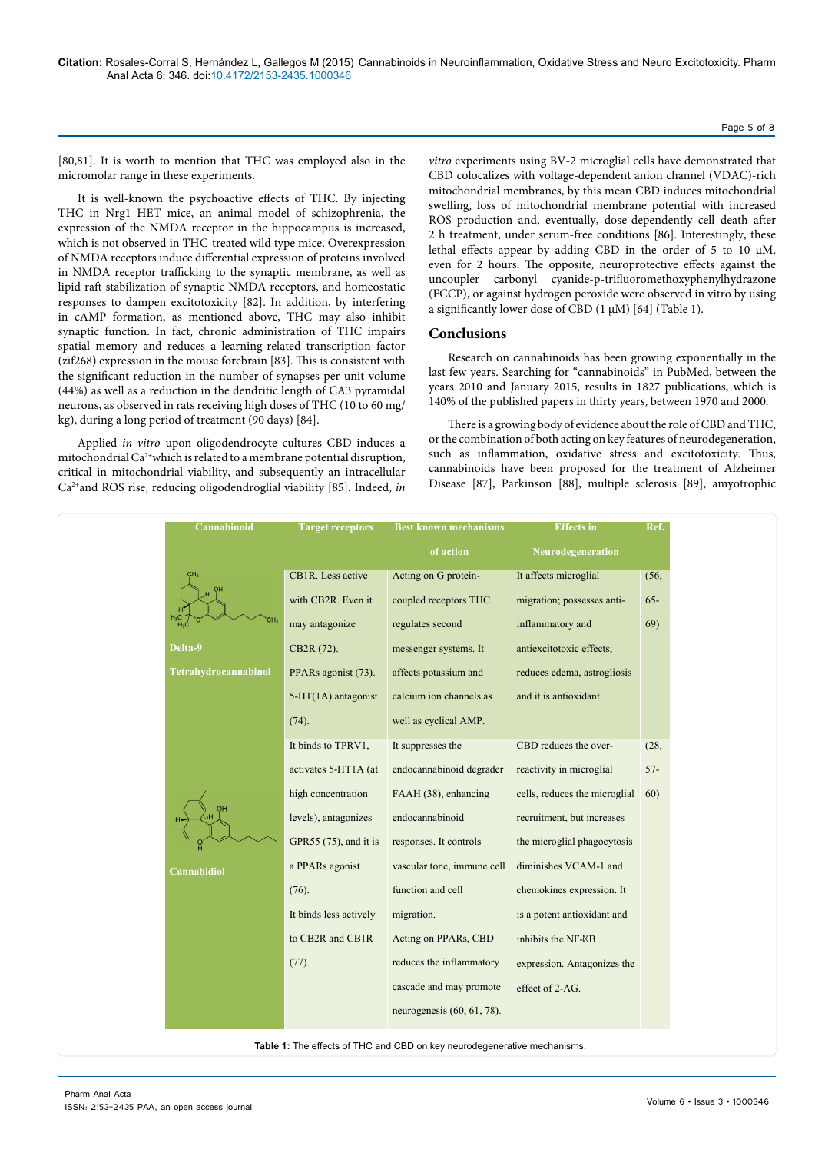[80,81]. It is worth to mention that THC was employed also in the micromolar range in these experiments.

It is well-known the psychoactive effects of THC. By injecting THC in Nrg1 HET mice, an animal model of schizophrenia, the expression of the NMDA receptor in the hippocampus is increased, which is not observed in THC-treated wild type mice. Overexpression of NMDA receptors induce differential expression of proteins involved in NMDA receptor trafficking to the synaptic membrane, as well as lipid raft stabilization of synaptic NMDA receptors, and homeostatic responses to dampen excitotoxicity [82]. In addition, by interfering in cAMP formation, as mentioned above, THC may also inhibit synaptic function. In fact, chronic administration of THC impairs spatial memory and reduces a learning-related transcription factor (zif268) expression in the mouse forebrain [83]. This is consistent with the significant reduction in the number of synapses per unit volume (44%) as well as a reduction in the dendritic length of CA3 pyramidal neurons, as observed in rats receiving high doses of THC (10 to 60 mg/ kg), during a long period of treatment (90 days) [84].

Applied *in vitro* upon oligodendrocyte cultures CBD induces a mitochondrial Ca2+which is related to a membrane potential disruption, critical in mitochondrial viability, and subsequently an intracellular Ca2+and ROS rise, reducing oligodendroglial viability [85]. Indeed, *in* 

*vitro* experiments using BV-2 microglial cells have demonstrated that CBD colocalizes with voltage-dependent anion channel (VDAC)-rich mitochondrial membranes, by this mean CBD induces mitochondrial swelling, loss of mitochondrial membrane potential with increased ROS production and, eventually, dose-dependently cell death after 2 h treatment, under serum-free conditions [86]. Interestingly, these lethal effects appear by adding CBD in the order of 5 to 10 µM, even for 2 hours. The opposite, neuroprotective effects against the uncoupler carbonyl cyanide-p-trifluoromethoxyphenylhydrazone (FCCP), or against hydrogen peroxide were observed in vitro by using a significantly lower dose of CBD  $(1 \mu M)$  [64] (Table 1).

### **Conclusions**

Research on cannabinoids has been growing exponentially in the last few years. Searching for "cannabinoids" in PubMed, between the years 2010 and January 2015, results in 1827 publications, which is 140% of the published papers in thirty years, between 1970 and 2000.

There is a growing body of evidence about the role of CBD and THC, or the combination of both acting on key features of neurodegeneration, such as inflammation, oxidative stress and excitotoxicity. Thus, cannabinoids have been proposed for the treatment of Alzheimer Disease [87], Parkinson [88], multiple sclerosis [89], amyotrophic

| Cannabinoid                                                              | <b>Target receptors</b> | <b>Best known mechanisms</b>  | <b>Effects</b> in             | Ref.   |
|--------------------------------------------------------------------------|-------------------------|-------------------------------|-------------------------------|--------|
|                                                                          |                         | of action                     | Neurodegeneration             |        |
|                                                                          | CB1R. Less active       | Acting on G protein-          | It affects microglial         | (56,   |
|                                                                          | with CB2R. Even it      | coupled receptors THC         | migration; possesses anti-    | $65 -$ |
|                                                                          | may antagonize          | regulates second              | inflammatory and              | 69)    |
| Delta-9                                                                  | CB2R (72).              | messenger systems. It         | antiexcitotoxic effects;      |        |
| Tetrahydrocannabinol                                                     | PPARs agonist (73).     | affects potassium and         | reduces edema, astrogliosis   |        |
|                                                                          | $5-HT(1A)$ antagonist   | calcium ion channels as       | and it is antioxidant.        |        |
|                                                                          | (74).                   | well as cyclical AMP.         |                               |        |
|                                                                          | It binds to TPRV1,      | It suppresses the             | CBD reduces the over-         | (28,   |
|                                                                          | activates 5-HT1A (at    | endocannabinoid degrader      | reactivity in microglial      | $57-$  |
|                                                                          | high concentration      | FAAH (38), enhancing          | cells, reduces the microglial | 60)    |
|                                                                          | levels), antagonizes    | endocannabinoid               | recruitment, but increases    |        |
|                                                                          | GPR55 (75), and it is   | responses. It controls        | the microglial phagocytosis   |        |
| Cannabidiol                                                              | a PPARs agonist         | vascular tone, immune cell    | diminishes VCAM-1 and         |        |
|                                                                          | $(76)$ .                | function and cell             | chemokines expression. It     |        |
|                                                                          | It binds less actively  | migration.                    | is a potent antioxidant and   |        |
|                                                                          | to CB2R and CB1R        | Acting on PPARs, CBD          | inhibits the NF-B             |        |
|                                                                          | $(77)$ .                | reduces the inflammatory      | expression. Antagonizes the   |        |
|                                                                          |                         | cascade and may promote       | effect of 2-AG.               |        |
|                                                                          |                         | neurogenesis $(60, 61, 78)$ . |                               |        |
| Table 1: The effects of THC and CBD on key neurodegenerative mechanisms. |                         |                               |                               |        |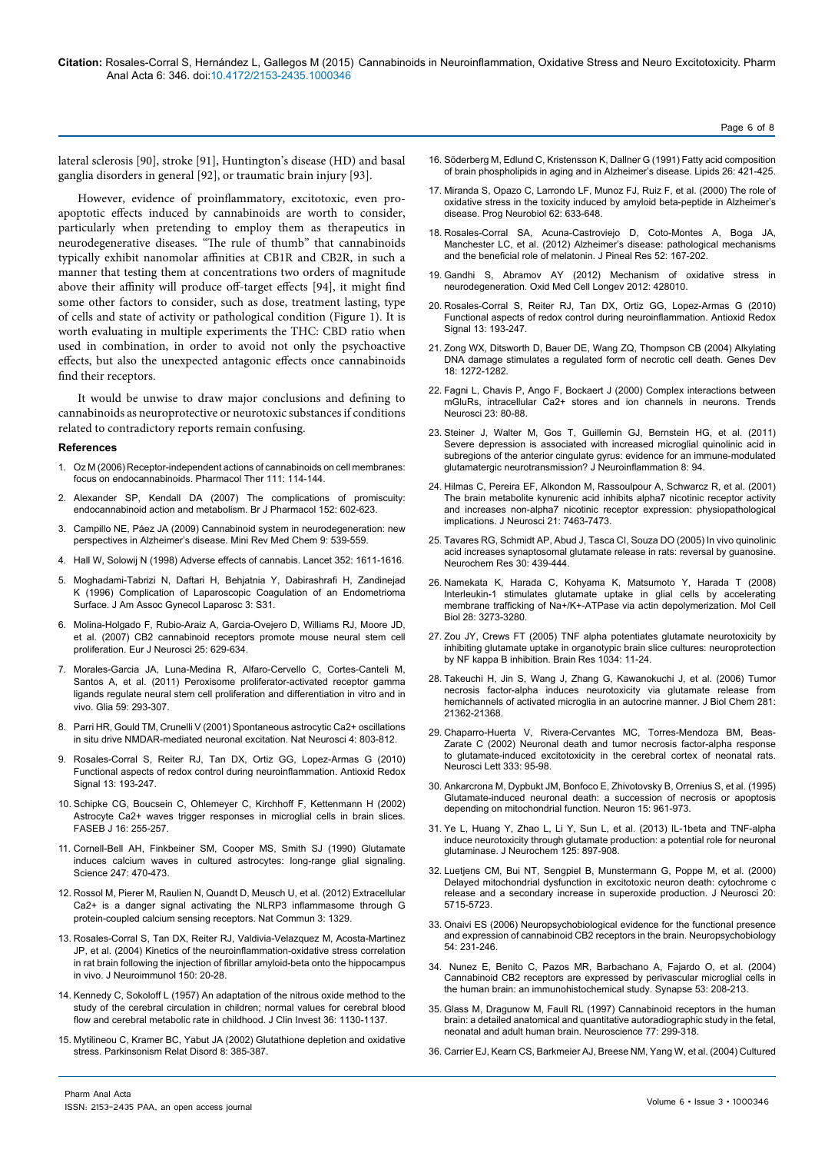lateral sclerosis [90], stroke [91], Huntington's disease (HD) and basal ganglia disorders in general [92], or traumatic brain injury [93].

However, evidence of proinflammatory, excitotoxic, even proapoptotic effects induced by cannabinoids are worth to consider, particularly when pretending to employ them as therapeutics in neurodegenerative diseases. "The rule of thumb" that cannabinoids typically exhibit nanomolar affinities at CB1R and CB2R, in such a manner that testing them at concentrations two orders of magnitude above their affinity will produce off-target effects [94], it might find some other factors to consider, such as dose, treatment lasting, type of cells and state of activity or pathological condition (Figure 1). It is worth evaluating in multiple experiments the THC: CBD ratio when used in combination, in order to avoid not only the psychoactive effects, but also the unexpected antagonic effects once cannabinoids find their receptors.

It would be unwise to draw major conclusions and defining to cannabinoids as neuroprotective or neurotoxic substances if conditions related to contradictory reports remain confusing.

#### **References**

- 1. [Oz M \(2006\) Receptor-independent actions of cannabinoids on cell membranes:](http://www.ncbi.nlm.nih.gov/pubmed/16584786) [focus on endocannabinoids. Pharmacol Ther 111: 114-144.](http://www.ncbi.nlm.nih.gov/pubmed/16584786)
- 2. [Alexander SP, Kendall DA \(2007\) The complications of promiscuity:](http://www.ncbi.nlm.nih.gov/pubmed/17876303) [endocannabinoid action and metabolism. Br J Pharmacol 152: 602-623.](http://www.ncbi.nlm.nih.gov/pubmed/17876303)
- 3. [Campillo NE, Páez JA \(2009\) Cannabinoid system in neurodegeneration: new](http://www.ncbi.nlm.nih.gov/pubmed/19456285) [perspectives in Alzheimer's disease. Mini Rev Med Chem 9: 539-559.](http://www.ncbi.nlm.nih.gov/pubmed/19456285)
- 4. [Hall W, Solowij N \(1998\) Adverse effects of cannabis. Lancet 352: 1611-1616.](http://www.ncbi.nlm.nih.gov/pubmed/9843121)
- 5. [Moghadami-Tabrizi N, Daftari H, Behjatnia Y, Dabirashrafi H, Zandinejad](http://www.ncbi.nlm.nih.gov/pubmed/9074186) [K \(1996\) Complication of Laparoscopic Coagulation of an Endometrioma](http://www.ncbi.nlm.nih.gov/pubmed/9074186) [Surface. J Am Assoc Gynecol Laparosc 3: S31.](http://www.ncbi.nlm.nih.gov/pubmed/9074186)
- 6. [Molina-Holgado F, Rubio-Araiz A, Garcia-Ovejero D, Williams RJ, Moore JD,](http://www.ncbi.nlm.nih.gov/pubmed/17328768) [et al. \(2007\) CB2 cannabinoid receptors promote mouse neural stem cell](http://www.ncbi.nlm.nih.gov/pubmed/17328768) [proliferation. Eur J Neurosci 25: 629-634.](http://www.ncbi.nlm.nih.gov/pubmed/17328768)
- 7. [Morales-Garcia JA, Luna-Medina R, Alfaro-Cervello C, Cortes-Canteli M,](http://www.ncbi.nlm.nih.gov/pubmed/21125653) [Santos A, et al. \(2011\) Peroxisome proliferator-activated receptor gamma](http://www.ncbi.nlm.nih.gov/pubmed/21125653) [ligands regulate neural stem cell proliferation and differentiation in vitro and in](http://www.ncbi.nlm.nih.gov/pubmed/21125653) [vivo. Glia 59: 293-307.](http://www.ncbi.nlm.nih.gov/pubmed/21125653)
- 8. [Parri HR, Gould TM, Crunelli V \(2001\) Spontaneous astrocytic Ca2+ oscillations](http://www.ncbi.nlm.nih.gov/pubmed/11477426) [in situ drive NMDAR-mediated neuronal excitation. Nat Neurosci 4: 803-812.](http://www.ncbi.nlm.nih.gov/pubmed/11477426)
- 9. [Rosales-Corral S, Reiter RJ, Tan DX, Ortiz GG, Lopez-Armas G \(2010\)](http://www.ncbi.nlm.nih.gov/pubmed/19951033) [Functional aspects of redox control during neuroinflammation. Antioxid Redox](http://www.ncbi.nlm.nih.gov/pubmed/19951033) [Signal 13: 193-247.](http://www.ncbi.nlm.nih.gov/pubmed/19951033)
- 10. [Schipke CG, Boucsein C, Ohlemeyer C, Kirchhoff F, Kettenmann H \(2002\)](http://www.ncbi.nlm.nih.gov/pubmed/11772946) [Astrocyte Ca2+ waves trigger responses in microglial cells in brain slices.](http://www.ncbi.nlm.nih.gov/pubmed/11772946) [FASEB J 16: 255-257.](http://www.ncbi.nlm.nih.gov/pubmed/11772946)
- 11. [Cornell-Bell AH, Finkbeiner SM, Cooper MS, Smith SJ \(1990\) Glutamate](http://www.ncbi.nlm.nih.gov/pubmed/1967852) [induces calcium waves in cultured astrocytes: long-range glial signaling.](http://www.ncbi.nlm.nih.gov/pubmed/1967852) [Science 247: 470-473.](http://www.ncbi.nlm.nih.gov/pubmed/1967852)
- 12. [Rossol M, Pierer M, Raulien N, Quandt D, Meusch U, et al. \(2012\) Extracellular](http://www.ncbi.nlm.nih.gov/pubmed/23271661) [Ca2+ is a danger signal activating the NLRP3 inflammasome through G](http://www.ncbi.nlm.nih.gov/pubmed/23271661) [protein-coupled calcium sensing receptors. Nat Commun 3: 1329.](http://www.ncbi.nlm.nih.gov/pubmed/23271661)
- 13. [Rosales-Corral S, Tan DX, Reiter RJ, Valdivia-Velazquez M, Acosta-Martinez](http://www.ncbi.nlm.nih.gov/pubmed/15081245) [JP, et al. \(2004\) Kinetics of the neuroinflammation-oxidative stress correlation](http://www.ncbi.nlm.nih.gov/pubmed/15081245) [in rat brain following the injection of fibrillar amyloid-beta onto the hippocampus](http://www.ncbi.nlm.nih.gov/pubmed/15081245) [in vivo. J Neuroimmunol 150: 20-28.](http://www.ncbi.nlm.nih.gov/pubmed/15081245)
- 14. [Kennedy C, Sokoloff L \(1957\) An adaptation of the nitrous oxide method to the](http://www.ncbi.nlm.nih.gov/pubmed/13449166) [study of the cerebral circulation in children; normal values for cerebral blood](http://www.ncbi.nlm.nih.gov/pubmed/13449166) [flow and cerebral metabolic rate in childhood. J Clin Invest 36: 1130-1137.](http://www.ncbi.nlm.nih.gov/pubmed/13449166)
- 15. [Mytilineou C, Kramer BC, Yabut JA \(2002\) Glutathione depletion and oxidative](http://www.ncbi.nlm.nih.gov/pubmed/12217624) [stress. Parkinsonism Relat Disord 8: 385-387.](http://www.ncbi.nlm.nih.gov/pubmed/12217624)
- 16. [Söderberg M, Edlund C, Kristensson K, Dallner G \(1991\) Fatty acid composition](http://www.ncbi.nlm.nih.gov/pubmed/1881238)  [of brain phospholipids in aging and in Alzheimer's disease. Lipids 26: 421-425.](http://www.ncbi.nlm.nih.gov/pubmed/1881238)
- 17. [Miranda S, Opazo C, Larrondo LF, Munoz FJ, Ruiz F, et al. \(2000\) The role of](http://www.ncbi.nlm.nih.gov/pubmed/10880853)  [oxidative stress in the toxicity induced by amyloid beta-peptide in Alzheimer's](http://www.ncbi.nlm.nih.gov/pubmed/10880853)  [disease. Prog Neurobiol 62: 633-648.](http://www.ncbi.nlm.nih.gov/pubmed/10880853)
- 18. [Rosales-Corral SA, Acuna-Castroviejo D, Coto-Montes A, Boga JA,](http://www.ncbi.nlm.nih.gov/pubmed/22107053)  [Manchester LC, et al. \(2012\) Alzheimer's disease: pathological mechanisms](http://www.ncbi.nlm.nih.gov/pubmed/22107053)  [and the beneficial role of melatonin. J Pineal Res 52: 167-202.](http://www.ncbi.nlm.nih.gov/pubmed/22107053)
- 19. [Gandhi S, Abramov AY \(2012\) Mechanism of oxidative stress in](http://www.ncbi.nlm.nih.gov/pubmed/22685618)  [neurodegeneration. Oxid Med Cell Longev 2012: 428010.](http://www.ncbi.nlm.nih.gov/pubmed/22685618)
- 20. [Rosales-Corral S, Reiter RJ, Tan DX, Ortiz GG, Lopez-Armas G \(2010\)](http://www.ncbi.nlm.nih.gov/pubmed/19951033)  [Functional aspects of redox control during neuroinflammation. Antioxid Redox](http://www.ncbi.nlm.nih.gov/pubmed/19951033)  [Signal 13: 193-247.](http://www.ncbi.nlm.nih.gov/pubmed/19951033)
- 21. [Zong WX, Ditsworth D, Bauer DE, Wang ZQ, Thompson CB \(2004\) Alkylating](http://www.ncbi.nlm.nih.gov/pubmed/15145826)  [DNA damage stimulates a regulated form of necrotic cell death. Genes Dev](http://www.ncbi.nlm.nih.gov/pubmed/15145826)  [18: 1272-1282.](http://www.ncbi.nlm.nih.gov/pubmed/15145826)
- 22. [Fagni L, Chavis P, Ango F, Bockaert J \(2000\) Complex interactions between](http://www.ncbi.nlm.nih.gov/pubmed/10652549)  [mGluRs, intracellular Ca2+ stores and ion channels in neurons. Trends](http://www.ncbi.nlm.nih.gov/pubmed/10652549)  [Neurosci 23: 80-88.](http://www.ncbi.nlm.nih.gov/pubmed/10652549)
- 23. [Steiner J, Walter M, Gos T, Guillemin GJ, Bernstein HG, et al. \(2011\)](http://www.jneuroinflammation.com/content/8/1/94)  [Severe depression is associated with increased microglial quinolinic acid in](http://www.jneuroinflammation.com/content/8/1/94)  [subregions of the anterior cingulate gyrus: evidence for an immune-modulated](http://www.jneuroinflammation.com/content/8/1/94)  [glutamatergic neurotransmission? J Neuroinflammation 8: 94.](http://www.jneuroinflammation.com/content/8/1/94)
- 24. [Hilmas C, Pereira EF, Alkondon M, Rassoulpour A, Schwarcz R, et al. \(2001\)](http://www.ncbi.nlm.nih.gov/pubmed/11567036)  [The brain metabolite kynurenic acid inhibits alpha7 nicotinic receptor activity](http://www.ncbi.nlm.nih.gov/pubmed/11567036)  [and increases non-alpha7 nicotinic receptor expression: physiopathological](http://www.ncbi.nlm.nih.gov/pubmed/11567036)  [implications. J Neurosci 21: 7463-7473.](http://www.ncbi.nlm.nih.gov/pubmed/11567036)
- 25. [Tavares RG, Schmidt AP, Abud J, Tasca CI, Souza DO \(2005\) In vivo quinolinic](http://www.ncbi.nlm.nih.gov/pubmed/16076013)  [acid increases synaptosomal glutamate release in rats: reversal by guanosine.](http://www.ncbi.nlm.nih.gov/pubmed/16076013)  [Neurochem Res 30: 439-444.](http://www.ncbi.nlm.nih.gov/pubmed/16076013)
- 26. [Namekata K, Harada C, Kohyama K, Matsumoto Y, Harada T \(2008\)](http://www.ncbi.nlm.nih.gov/pubmed/18332114)  [Interleukin-1 stimulates glutamate uptake in glial cells by accelerating](http://www.ncbi.nlm.nih.gov/pubmed/18332114)  [membrane trafficking of Na+/K+-ATPase via actin depolymerization. Mol Cell](http://www.ncbi.nlm.nih.gov/pubmed/18332114)  [Biol 28: 3273-3280.](http://www.ncbi.nlm.nih.gov/pubmed/18332114)
- 27. [Zou JY, Crews FT \(2005\) TNF alpha potentiates glutamate neurotoxicity by](http://www.ncbi.nlm.nih.gov/pubmed/15713255)  [inhibiting glutamate uptake in organotypic brain slice cultures: neuroprotection](http://www.ncbi.nlm.nih.gov/pubmed/15713255)  [by NF kappa B inhibition. Brain Res 1034: 11-24.](http://www.ncbi.nlm.nih.gov/pubmed/15713255)
- 28. [Takeuchi H, Jin S, Wang J, Zhang G, Kawanokuchi J, et al. \(2006\) Tumor](http://www.ncbi.nlm.nih.gov/pubmed/16720574)  [necrosis factor-alpha induces neurotoxicity via glutamate release from](http://www.ncbi.nlm.nih.gov/pubmed/16720574)  [hemichannels of activated microglia in an autocrine manner. J Biol Chem 281:](http://www.ncbi.nlm.nih.gov/pubmed/16720574)  [21362-21368.](http://www.ncbi.nlm.nih.gov/pubmed/16720574)
- 29. [Chaparro-Huerta V, Rivera-Cervantes MC, Torres-Mendoza BM, Beas-](http://www.ncbi.nlm.nih.gov/pubmed/12419489)[Zarate C \(2002\) Neuronal death and tumor necrosis factor-alpha response](http://www.ncbi.nlm.nih.gov/pubmed/12419489)  [to glutamate-induced excitotoxicity in the cerebral cortex of neonatal rats.](http://www.ncbi.nlm.nih.gov/pubmed/12419489)  [Neurosci Lett 333: 95-98.](http://www.ncbi.nlm.nih.gov/pubmed/12419489)
- 30. Ankarcrona M, Dypbukt JM, Bonfoco E, Zhivotovsky B, Orrenius S, et al. (1995) Glutamate-induced neuronal death: a succession of necrosis or apoptosis depending on mitochondrial function. Neuron 15: 961-973.
- 31. [Ye L, Huang Y, Zhao L, Li Y, Sun L, et al. \(2013\) IL-1beta and TNF-alpha](http://www.ncbi.nlm.nih.gov/pubmed/23578284)  [induce neurotoxicity through glutamate production: a potential role for neuronal](http://www.ncbi.nlm.nih.gov/pubmed/23578284)  [glutaminase. J Neurochem 125: 897-908.](http://www.ncbi.nlm.nih.gov/pubmed/23578284)
- 32. Luetjens CM, Bui NT, Sengpiel B, Munstermann G, Poppe M, et al. (2000) Delayed mitochondrial dysfunction in excitotoxic neuron death: cytochrome c release and a secondary increase in superoxide production. J Neurosci 20: 5715-5723.
- 33. [Onaivi ES \(2006\) Neuropsychobiological evidence for the functional presence](http://www.ncbi.nlm.nih.gov/pubmed/17356307)  [and expression of cannabinoid CB2 receptors in the brain. Neuropsychobiology](http://www.ncbi.nlm.nih.gov/pubmed/17356307)  [54: 231-246.](http://www.ncbi.nlm.nih.gov/pubmed/17356307)
- 34. [Nunez E, Benito C, Pazos MR, Barbachano A, Fajardo O, et al. \(2004\)](http://www.ncbi.nlm.nih.gov/pubmed/15266552)  [Cannabinoid CB2 receptors are expressed by perivascular microglial cells in](http://www.ncbi.nlm.nih.gov/pubmed/15266552)  [the human brain: an immunohistochemical study. Synapse 53: 208-213.](http://www.ncbi.nlm.nih.gov/pubmed/15266552)
- 35. [Glass M, Dragunow M, Faull RL \(1997\) Cannabinoid receptors in the human](http://www.ncbi.nlm.nih.gov/pubmed/9472392)  [brain: a detailed anatomical and quantitative autoradiographic study in the fetal,](http://www.ncbi.nlm.nih.gov/pubmed/9472392)  [neonatal and adult human brain. Neuroscience 77: 299-318.](http://www.ncbi.nlm.nih.gov/pubmed/9472392)
- 36. [Carrier EJ, Kearn CS, Barkmeier AJ, Breese NM, Yang W, et al. \(2004\) Cultured](http://www.ncbi.nlm.nih.gov/pubmed/15044630)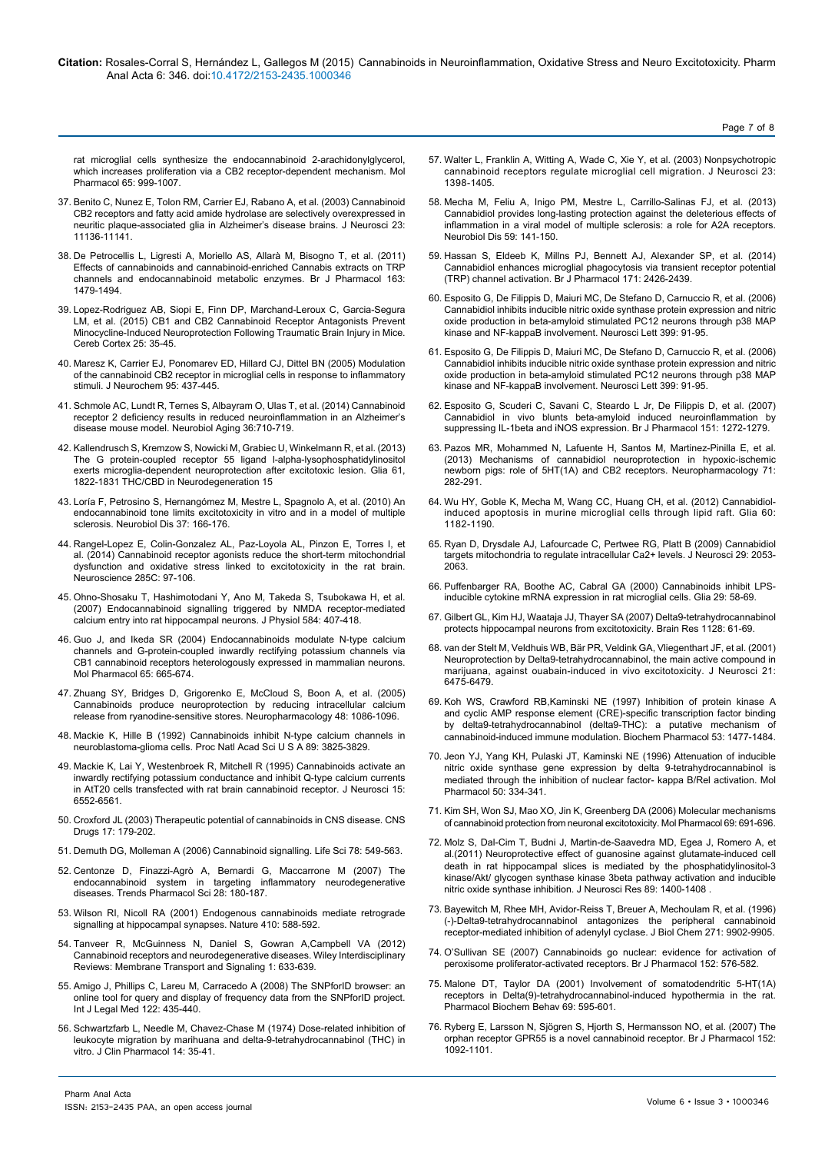[rat microglial cells synthesize the endocannabinoid 2-arachidonylglycerol,](http://www.ncbi.nlm.nih.gov/pubmed/15044630) [which increases proliferation via a CB2 receptor-dependent mechanism. Mol](http://www.ncbi.nlm.nih.gov/pubmed/15044630) [Pharmacol 65: 999-1007.](http://www.ncbi.nlm.nih.gov/pubmed/15044630)

- 37. [Benito C, Nunez E, Tolon RM, Carrier EJ, Rabano A, et al. \(2003\) Cannabinoid](http://www.ncbi.nlm.nih.gov/pubmed/14657172) [CB2 receptors and fatty acid amide hydrolase are selectively overexpressed in](http://www.ncbi.nlm.nih.gov/pubmed/14657172) [neuritic plaque-associated glia in Alzheimer's disease brains. J Neurosci 23:](http://www.ncbi.nlm.nih.gov/pubmed/14657172) [11136-11141.](http://www.ncbi.nlm.nih.gov/pubmed/14657172)
- 38. [De Petrocellis L, Ligresti A, Moriello AS, Allarà M, Bisogno T, et al. \(2011\)](http://www.ncbi.nlm.nih.gov/pubmed/21175579) [Effects of cannabinoids and cannabinoid-enriched Cannabis extracts on TRP](http://www.ncbi.nlm.nih.gov/pubmed/21175579) [channels and endocannabinoid metabolic enzymes. Br J Pharmacol 163:](http://www.ncbi.nlm.nih.gov/pubmed/21175579) [1479-1494.](http://www.ncbi.nlm.nih.gov/pubmed/21175579)
- 39. [Lopez-Rodriguez AB, Siopi E, Finn DP, Marchand-Leroux C, Garcia-Segura](http://www.ncbi.nlm.nih.gov/pubmed/23960212) [LM, et al. \(2015\) CB1 and CB2 Cannabinoid Receptor Antagonists Prevent](http://www.ncbi.nlm.nih.gov/pubmed/23960212) [Minocycline-Induced Neuroprotection Following Traumatic Brain Injury in Mice.](http://www.ncbi.nlm.nih.gov/pubmed/23960212) [Cereb Cortex 25: 35-45.](http://www.ncbi.nlm.nih.gov/pubmed/23960212)
- 40. [Maresz K, Carrier EJ, Ponomarev ED, Hillard CJ, Dittel BN \(2005\) Modulation](http://www.ncbi.nlm.nih.gov/pubmed/16086683) [of the cannabinoid CB2 receptor in microglial cells in response to inflammatory](http://www.ncbi.nlm.nih.gov/pubmed/16086683) [stimuli. J Neurochem 95: 437-445.](http://www.ncbi.nlm.nih.gov/pubmed/16086683)
- 41. [Schmole AC, Lundt R, Ternes S, Albayram O, Ulas T, et al. \(2014\) Cannabinoid](http://www.ncbi.nlm.nih.gov/pubmed/25443294) [receptor 2 deficiency results in reduced neuroinflammation in an Alzheimer's](http://www.ncbi.nlm.nih.gov/pubmed/25443294) [disease mouse model. Neurobiol Aging 36:710-719.](http://www.ncbi.nlm.nih.gov/pubmed/25443294)
- 42. Kallendrusch S, Kremzow S, Nowicki M, Grabiec U, Winkelmann R, et al. (2013) The G protein-coupled receptor 55 ligand l-alpha-lysophosphatidylinositol exerts microglia-dependent neuroprotection after excitotoxic lesion. Glia 61, 1822-1831 THC/CBD in Neurodegeneration 15
- 43. [Loría F, Petrosino S, Hernangómez M, Mestre L, Spagnolo A, et al. \(2010\) An](http://www.ncbi.nlm.nih.gov/pubmed/19815071) [endocannabinoid tone limits excitotoxicity in vitro and in a model of multiple](http://www.ncbi.nlm.nih.gov/pubmed/19815071) [sclerosis. Neurobiol Dis 37: 166-176.](http://www.ncbi.nlm.nih.gov/pubmed/19815071)
- 44. [Rangel-Lopez E, Colin-Gonzalez AL, Paz-Loyola AL, Pinzon E, Torres I, et](http://www.ncbi.nlm.nih.gov/pubmed/25446347) [al. \(2014\) Cannabinoid receptor agonists reduce the short-term mitochondrial](http://www.ncbi.nlm.nih.gov/pubmed/25446347) [dysfunction and oxidative stress linked to excitotoxicity in the rat brain.](http://www.ncbi.nlm.nih.gov/pubmed/25446347) [Neuroscience 285C: 97-106.](http://www.ncbi.nlm.nih.gov/pubmed/25446347)
- 45. [Ohno-Shosaku T, Hashimotodani Y, Ano M, Takeda S, Tsubokawa H, et al.](http://www.ncbi.nlm.nih.gov/pubmed/17615096) [\(2007\) Endocannabinoid signalling triggered by NMDA receptor-mediated](http://www.ncbi.nlm.nih.gov/pubmed/17615096) [calcium entry into rat hippocampal neurons. J Physiol 584: 407-418.](http://www.ncbi.nlm.nih.gov/pubmed/17615096)
- 46. [Guo J, and Ikeda SR \(2004\) Endocannabinoids modulate N-type calcium](http://www.ncbi.nlm.nih.gov/pubmed/14978245) [channels and G-protein-coupled inwardly rectifying potassium channels via](http://www.ncbi.nlm.nih.gov/pubmed/14978245) [CB1 cannabinoid receptors heterologously expressed in mammalian neurons.](http://www.ncbi.nlm.nih.gov/pubmed/14978245) [Mol Pharmacol 65: 665-674.](http://www.ncbi.nlm.nih.gov/pubmed/14978245)
- 47. [Zhuang SY, Bridges D, Grigorenko E, McCloud S, Boon A, et al. \(2005\)](http://www.ncbi.nlm.nih.gov/pubmed/15910885) [Cannabinoids produce neuroprotection by reducing intracellular calcium](http://www.ncbi.nlm.nih.gov/pubmed/15910885) [release from ryanodine-sensitive stores. Neuropharmacology 48: 1086-1096.](http://www.ncbi.nlm.nih.gov/pubmed/15910885)
- 48. [Mackie K, Hille B \(1992\) Cannabinoids inhibit N-type calcium channels in](http://www.ncbi.nlm.nih.gov/pubmed/1315042) [neuroblastoma-glioma cells. Proc Natl Acad Sci U S A 89: 3825-3829.](http://www.ncbi.nlm.nih.gov/pubmed/1315042)
- 49. [Mackie K, Lai Y, Westenbroek R, Mitchell R \(1995\) Cannabinoids activate an](http://www.ncbi.nlm.nih.gov/pubmed/7472417) [inwardly rectifying potassium conductance and inhibit Q-type calcium currents](http://www.ncbi.nlm.nih.gov/pubmed/7472417) [in AtT20 cells transfected with rat brain cannabinoid receptor. J Neurosci 15:](http://www.ncbi.nlm.nih.gov/pubmed/7472417) [6552-6561.](http://www.ncbi.nlm.nih.gov/pubmed/7472417)
- 50. [Croxford JL \(2003\) Therapeutic potential of cannabinoids in CNS disease. CNS](http://www.ncbi.nlm.nih.gov/pubmed/12617697) [Drugs 17: 179-202.](http://www.ncbi.nlm.nih.gov/pubmed/12617697)
- 51. [Demuth DG, Molleman A \(2006\) Cannabinoid signalling. Life Sci 78: 549-563.](http://www.ncbi.nlm.nih.gov/pubmed/16109430)
- 52. [Centonze D, Finazzi-Agrò A, Bernardi G, Maccarrone M \(2007\) The](http://www.ncbi.nlm.nih.gov/pubmed/17350694) [endocannabinoid system in targeting inflammatory neurodegenerative](http://www.ncbi.nlm.nih.gov/pubmed/17350694) [diseases. Trends Pharmacol Sci 28: 180-187.](http://www.ncbi.nlm.nih.gov/pubmed/17350694)
- 53. [Wilson RI, Nicoll RA \(2001\) Endogenous cannabinoids mediate retrograde](http://www.ncbi.nlm.nih.gov/pubmed/11279497) [signalling at hippocampal synapses. Nature 410: 588-592.](http://www.ncbi.nlm.nih.gov/pubmed/11279497)
- 54. [Tanveer R, McGuinness N, Daniel S, Gowran A,Campbell VA \(2012\)](http://onlinelibrary.wiley.com/doi/10.1002/wmts.64/abstract) [Cannabinoid receptors and neurodegenerative diseases. Wiley Interdisciplinary](http://onlinelibrary.wiley.com/doi/10.1002/wmts.64/abstract) [Reviews: Membrane Transport and Signaling 1: 633-639.](http://onlinelibrary.wiley.com/doi/10.1002/wmts.64/abstract)
- 55. [Amigo J, Phillips C, Lareu M, Carracedo A \(2008\) The SNPforID browser: an](http://www.ncbi.nlm.nih.gov/pubmed/18491122) [online tool for query and display of frequency data from the SNPforID project.](http://www.ncbi.nlm.nih.gov/pubmed/18491122) [Int J Legal Med 122: 435-440.](http://www.ncbi.nlm.nih.gov/pubmed/18491122)
- 56. [Schwartzfarb L, Needle M, Chavez-Chase M \(1974\) Dose-related inhibition of](http://www.ncbi.nlm.nih.gov/pubmed/4491907) [leukocyte migration by marihuana and delta-9-tetrahydrocannabinol \(THC\) in](http://www.ncbi.nlm.nih.gov/pubmed/4491907) [vitro. J Clin Pharmacol 14: 35-41.](http://www.ncbi.nlm.nih.gov/pubmed/4491907)

57. [Walter L, Franklin A, Witting A, Wade C, Xie Y, et al. \(2003\) Nonpsychotropic](http://www.ncbi.nlm.nih.gov/pubmed/12598628)  [cannabinoid receptors regulate microglial cell migration. J Neurosci 23:](http://www.ncbi.nlm.nih.gov/pubmed/12598628)  [1398-1405.](http://www.ncbi.nlm.nih.gov/pubmed/12598628)

Page 7 of 8

- 58. [Mecha M, Feliu A, Inigo PM, Mestre L, Carrillo-Salinas FJ, et al. \(2013\)](http://www.ncbi.nlm.nih.gov/pubmed/23851307)  [Cannabidiol provides long-lasting protection against the deleterious effects of](http://www.ncbi.nlm.nih.gov/pubmed/23851307)  [inflammation in a viral model of multiple sclerosis: a role for A2A receptors.](http://www.ncbi.nlm.nih.gov/pubmed/23851307)  [Neurobiol Dis 59: 141-150.](http://www.ncbi.nlm.nih.gov/pubmed/23851307)
- 59. [Hassan S, Eldeeb K, Millns PJ, Bennett AJ, Alexander SP, et al. \(2014\)](http://www.ncbi.nlm.nih.gov/pubmed/24641282)  [Cannabidiol enhances microglial phagocytosis via transient receptor potential](http://www.ncbi.nlm.nih.gov/pubmed/24641282)  [\(TRP\) channel activation. Br J Pharmacol 171: 2426-2439.](http://www.ncbi.nlm.nih.gov/pubmed/24641282)
- 60. [Esposito G, De Filippis D, Maiuri MC, De Stefano D, Carnuccio R, et al. \(2006\)](http://www.ncbi.nlm.nih.gov/pubmed/16490313)  [Cannabidiol inhibits inducible nitric oxide synthase protein expression and nitric](http://www.ncbi.nlm.nih.gov/pubmed/16490313)  [oxide production in beta-amyloid stimulated PC12 neurons through p38 MAP](http://www.ncbi.nlm.nih.gov/pubmed/16490313)  [kinase and NF-kappaB involvement. Neurosci Lett 399: 91-95.](http://www.ncbi.nlm.nih.gov/pubmed/16490313)
- 61. [Esposito G, De Filippis D, Maiuri MC, De Stefano D, Carnuccio R, et al. \(2006\)](http://www.ncbi.nlm.nih.gov/pubmed/16490313)  [Cannabidiol inhibits inducible nitric oxide synthase protein expression and nitric](http://www.ncbi.nlm.nih.gov/pubmed/16490313)  [oxide production in beta-amyloid stimulated PC12 neurons through p38 MAP](http://www.ncbi.nlm.nih.gov/pubmed/16490313)  [kinase and NF-kappaB involvement. Neurosci Lett 399: 91-95.](http://www.ncbi.nlm.nih.gov/pubmed/16490313)
- 62. [Esposito G, Scuderi C, Savani C, Steardo L Jr, De Filippis D, et al. \(2007\)](http://www.ncbi.nlm.nih.gov/pubmed/17592514)  [Cannabidiol in vivo blunts beta-amyloid induced neuroinflammation by](http://www.ncbi.nlm.nih.gov/pubmed/17592514)  [suppressing IL-1beta and iNOS expression. Br J Pharmacol 151: 1272-1279.](http://www.ncbi.nlm.nih.gov/pubmed/17592514)
- 63. [Pazos MR, Mohammed N, Lafuente H, Santos M, Martinez-Pinilla E, et al.](http://www.ncbi.nlm.nih.gov/pubmed/23587650)  [\(2013\) Mechanisms of cannabidiol neuroprotection in hypoxic-ischemic](http://www.ncbi.nlm.nih.gov/pubmed/23587650)  [newborn pigs: role of 5HT\(1A\) and CB2 receptors. Neuropharmacology 71:](http://www.ncbi.nlm.nih.gov/pubmed/23587650)  [282-291.](http://www.ncbi.nlm.nih.gov/pubmed/23587650)
- 64. [Wu HY, Goble K, Mecha M, Wang CC, Huang CH, et al. \(2012\) Cannabidiol](http://www.ncbi.nlm.nih.gov/pubmed/22535572)[induced apoptosis in murine microglial cells through lipid raft. Glia 60:](http://www.ncbi.nlm.nih.gov/pubmed/22535572)  [1182-1190.](http://www.ncbi.nlm.nih.gov/pubmed/22535572)
- 65. [Ryan D, Drysdale AJ, Lafourcade C, Pertwee RG, Platt B \(2009\) Cannabidiol](http://www.ncbi.nlm.nih.gov/pubmed/19228959)  [targets mitochondria to regulate intracellular Ca2+ levels. J Neurosci 29: 2053-](http://www.ncbi.nlm.nih.gov/pubmed/19228959) [2063.](http://www.ncbi.nlm.nih.gov/pubmed/19228959)
- 66. Puffenbarger RA, Boothe AC, Cabral GA (2000) Cannabinoids inhibit LPSinducible cytokine mRNA expression in rat microglial cells. Glia 29: 58-69.
- 67. [Gilbert GL, Kim HJ, Waataja JJ, Thayer SA \(2007\) Delta9-tetrahydrocannabinol](http://www.ncbi.nlm.nih.gov/pubmed/17140550)  [protects hippocampal neurons from excitotoxicity. Brain Res 1128: 61-69.](http://www.ncbi.nlm.nih.gov/pubmed/17140550)
- 68. [van der Stelt M, Veldhuis WB, Bär PR, Veldink GA, Vliegenthart JF, et al. \(2001\)](http://www.ncbi.nlm.nih.gov/pubmed/11517236)  [Neuroprotection by Delta9-tetrahydrocannabinol, the main active compound in](http://www.ncbi.nlm.nih.gov/pubmed/11517236)  [marijuana, against ouabain-induced in vivo excitotoxicity. J Neurosci 21:](http://www.ncbi.nlm.nih.gov/pubmed/11517236)  [6475-6479.](http://www.ncbi.nlm.nih.gov/pubmed/11517236)
- 69. [Koh WS, Crawford RB,Kaminski NE \(1997\) Inhibition of protein kinase A](http://www.ncbi.nlm.nih.gov/pubmed/9260875)  and cyclic [AMP response element \(CRE\)-specific transcription factor binding](http://www.ncbi.nlm.nih.gov/pubmed/9260875)  [by delta9-tetrahydrocannabinol \(delta9-THC\): a putative mechanism of](http://www.ncbi.nlm.nih.gov/pubmed/9260875)  [cannabinoid-induced immune modulation. Biochem Pharmacol 53: 1477-1484.](http://www.ncbi.nlm.nih.gov/pubmed/9260875)
- 70. [Jeon YJ, Yang KH, Pulaski JT, Kaminski NE \(1996\) Attenuation of inducible](http://www.ncbi.nlm.nih.gov/pubmed/8700141)  [nitric oxide synthase gene expression by delta 9-tetrahydrocannabinol is](http://www.ncbi.nlm.nih.gov/pubmed/8700141)  [mediated through the inhibition of nuclear factor- kappa B/Rel activation. Mol](http://www.ncbi.nlm.nih.gov/pubmed/8700141)  [Pharmacol 50: 334-341.](http://www.ncbi.nlm.nih.gov/pubmed/8700141)
- 71. [Kim SH, Won SJ, Mao XO, Jin K, Greenberg DA \(2006\) Molecular mechanisms](http://www.ncbi.nlm.nih.gov/pubmed/16299067)  [of cannabinoid protection from neuronal excitotoxicity. Mol Pharmacol 69: 691-696.](http://www.ncbi.nlm.nih.gov/pubmed/16299067)
- 72. [Molz S, Dal-Cim T, Budni J, Martin-de-Saavedra MD, Egea J, Romero A, et](http://www.ncbi.nlm.nih.gov/pubmed/21671255)  [al.\(2011\) Neuroprotective effect of guanosine against glutamate-induced cell](http://www.ncbi.nlm.nih.gov/pubmed/21671255)  [death in rat hippocampal slices is mediated by the phosphatidylinositol-3](http://www.ncbi.nlm.nih.gov/pubmed/21671255)  [kinase/Akt/ glycogen synthase kinase 3beta pathway activation and inducible](http://www.ncbi.nlm.nih.gov/pubmed/21671255)  [nitric oxide synthase inhibition. J Neurosci Res 89: 1400-1408](http://www.ncbi.nlm.nih.gov/pubmed/21671255) .
- 73. [Bayewitch M, Rhee MH, Avidor-Reiss T, Breuer A, Mechoulam R, et al. \(1996\)](http://www.ncbi.nlm.nih.gov/pubmed/8626625)  [\(-\)-Delta9-tetrahydrocannabinol antagonizes the peripheral cannabinoid](http://www.ncbi.nlm.nih.gov/pubmed/8626625)  [receptor-mediated inhibition of adenylyl cyclase. J Biol Chem 271: 9902-9905.](http://www.ncbi.nlm.nih.gov/pubmed/8626625)
- 74. [O'Sullivan SE \(2007\) Cannabinoids go nuclear: evidence for activation of](http://www.ncbi.nlm.nih.gov/pubmed/17704824)  [peroxisome proliferator-activated receptors. Br J Pharmacol 152: 576-582.](http://www.ncbi.nlm.nih.gov/pubmed/17704824)
- 75. [Malone DT, Taylor DA \(2001\) Involvement of somatodendritic 5-HT\(1A\)](http://www.ncbi.nlm.nih.gov/pubmed/11509221)  [receptors in Delta\(9\)-tetrahydrocannabinol-induced hypothermia in the rat.](http://www.ncbi.nlm.nih.gov/pubmed/11509221)  [Pharmacol Biochem Behav 69: 595-601.](http://www.ncbi.nlm.nih.gov/pubmed/11509221)
- 76. Ryberg E, Larsson N, [Sjögren S, Hjorth S, Hermansson NO, et al. \(2007\) The](http://www.ncbi.nlm.nih.gov/pubmed/17876302)  [orphan receptor GPR55 is a novel cannabinoid receptor. Br J Pharmacol 152:](http://www.ncbi.nlm.nih.gov/pubmed/17876302)  [1092-1101.](http://www.ncbi.nlm.nih.gov/pubmed/17876302)